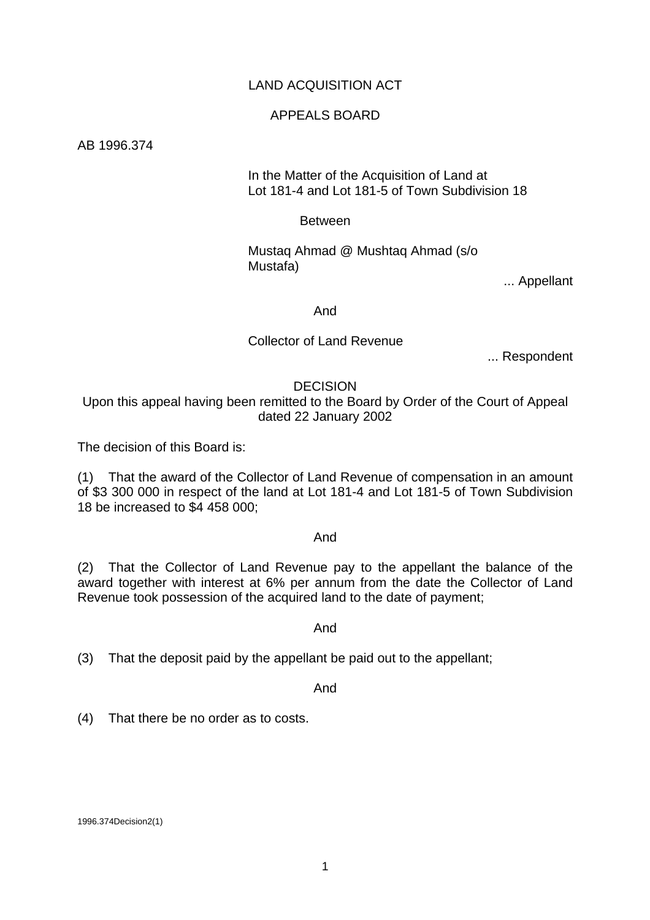## LAND ACQUISITION ACT

## APPEALS BOARD

AB 1996.374

### In the Matter of the Acquisition of Land at Lot 181-4 and Lot 181-5 of Town Subdivision 18

Between

 Mustaq Ahmad @ Mushtaq Ahmad (s/o Mustafa)

... Appellant

#### And

## Collector of Land Revenue

... Respondent

## DECISION

Upon this appeal having been remitted to the Board by Order of the Court of Appeal dated 22 January 2002

The decision of this Board is:

(1) That the award of the Collector of Land Revenue of compensation in an amount of \$3 300 000 in respect of the land at Lot 181-4 and Lot 181-5 of Town Subdivision 18 be increased to \$4 458 000;

#### And

(2) That the Collector of Land Revenue pay to the appellant the balance of the award together with interest at 6% per annum from the date the Collector of Land Revenue took possession of the acquired land to the date of payment;

### And

(3) That the deposit paid by the appellant be paid out to the appellant;

And

(4) That there be no order as to costs.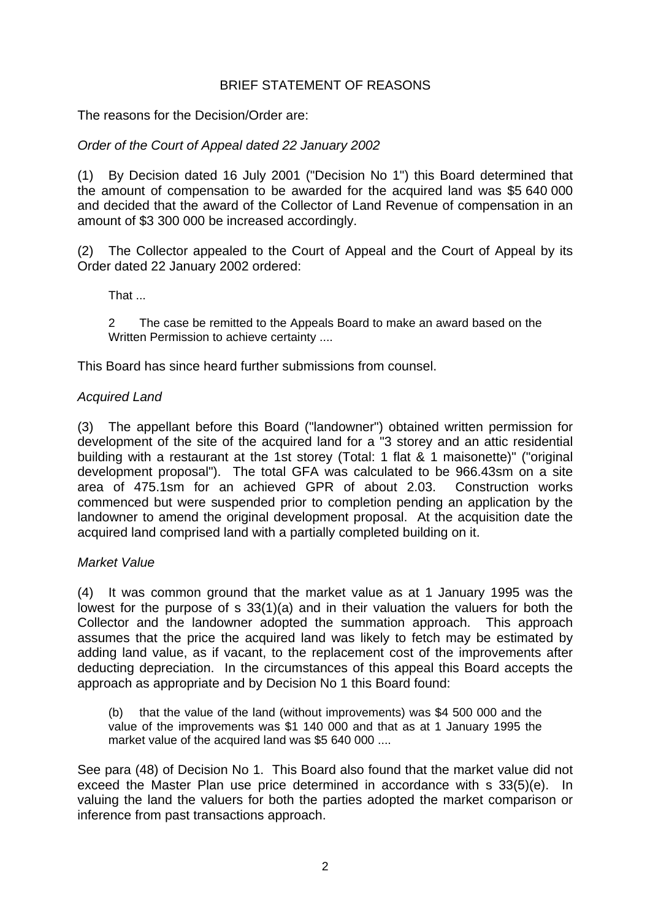# BRIEF STATEMENT OF REASONS

The reasons for the Decision/Order are:

# *Order of the Court of Appeal dated 22 January 2002*

(1) By Decision dated 16 July 2001 ("Decision No 1") this Board determined that the amount of compensation to be awarded for the acquired land was \$5 640 000 and decided that the award of the Collector of Land Revenue of compensation in an amount of \$3 300 000 be increased accordingly.

(2) The Collector appealed to the Court of Appeal and the Court of Appeal by its Order dated 22 January 2002 ordered:

That ...

2 The case be remitted to the Appeals Board to make an award based on the Written Permission to achieve certainty ....

This Board has since heard further submissions from counsel.

## *Acquired Land*

(3) The appellant before this Board ("landowner") obtained written permission for development of the site of the acquired land for a "3 storey and an attic residential building with a restaurant at the 1st storey (Total: 1 flat & 1 maisonette)" ("original development proposal"). The total GFA was calculated to be 966.43sm on a site area of 475.1sm for an achieved GPR of about 2.03. Construction works commenced but were suspended prior to completion pending an application by the landowner to amend the original development proposal. At the acquisition date the acquired land comprised land with a partially completed building on it.

## *Market Value*

(4) It was common ground that the market value as at 1 January 1995 was the lowest for the purpose of s 33(1)(a) and in their valuation the valuers for both the Collector and the landowner adopted the summation approach. This approach assumes that the price the acquired land was likely to fetch may be estimated by adding land value, as if vacant, to the replacement cost of the improvements after deducting depreciation. In the circumstances of this appeal this Board accepts the approach as appropriate and by Decision No 1 this Board found:

(b) that the value of the land (without improvements) was \$4 500 000 and the value of the improvements was \$1 140 000 and that as at 1 January 1995 the market value of the acquired land was \$5 640 000 ....

See para (48) of Decision No 1. This Board also found that the market value did not exceed the Master Plan use price determined in accordance with s 33(5)(e). In valuing the land the valuers for both the parties adopted the market comparison or inference from past transactions approach.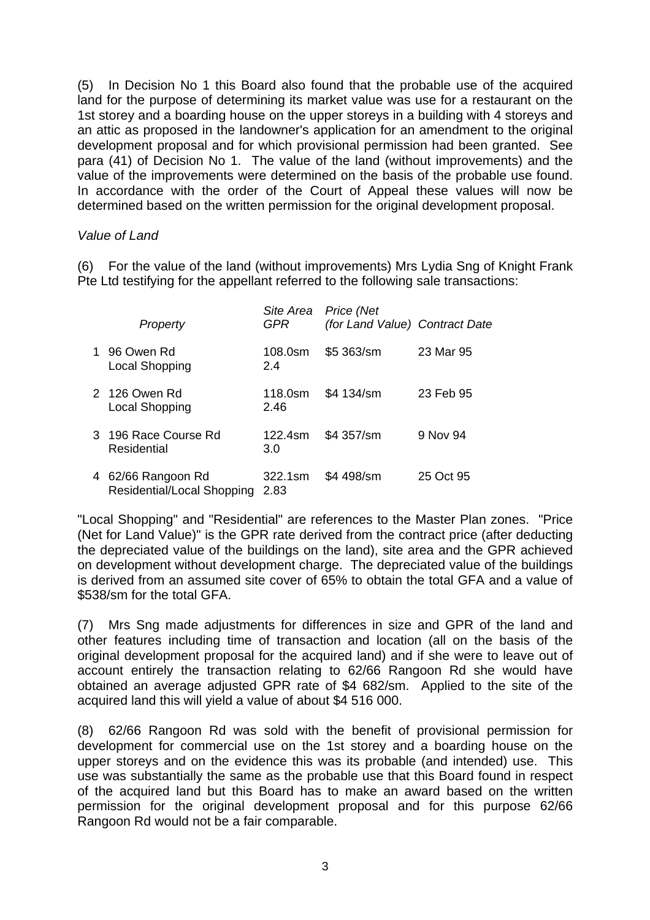(5) In Decision No 1 this Board also found that the probable use of the acquired land for the purpose of determining its market value was use for a restaurant on the 1st storey and a boarding house on the upper storeys in a building with 4 storeys and an attic as proposed in the landowner's application for an amendment to the original development proposal and for which provisional permission had been granted. See para (41) of Decision No 1. The value of the land (without improvements) and the value of the improvements were determined on the basis of the probable use found. In accordance with the order of the Court of Appeal these values will now be determined based on the written permission for the original development proposal.

## *Value of Land*

(6) For the value of the land (without improvements) Mrs Lydia Sng of Knight Frank Pte Ltd testifying for the appellant referred to the following sale transactions:

| Property                                         | Site Area<br><b>GPR</b> | Price (Net<br>(for Land Value) Contract Date |           |
|--------------------------------------------------|-------------------------|----------------------------------------------|-----------|
| 1 96 Owen Rd<br>Local Shopping                   | 108.0sm<br>24           | \$5 363/sm                                   | 23 Mar 95 |
| 2  126 Owen Rd<br><b>Local Shopping</b>          | 118.0sm<br>2.46         | \$4 134/sm                                   | 23 Feb 95 |
| 3 196 Race Course Rd<br>Residential              | 122.4sm<br>3.0          | \$4 357/sm                                   | 9 Nov 94  |
| 4 62/66 Rangoon Rd<br>Residential/Local Shopping | 322.1sm<br>2.83         | \$4 498/sm                                   | 25 Oct 95 |

"Local Shopping" and "Residential" are references to the Master Plan zones. "Price (Net for Land Value)" is the GPR rate derived from the contract price (after deducting the depreciated value of the buildings on the land), site area and the GPR achieved on development without development charge. The depreciated value of the buildings is derived from an assumed site cover of 65% to obtain the total GFA and a value of \$538/sm for the total GFA.

(7) Mrs Sng made adjustments for differences in size and GPR of the land and other features including time of transaction and location (all on the basis of the original development proposal for the acquired land) and if she were to leave out of account entirely the transaction relating to 62/66 Rangoon Rd she would have obtained an average adjusted GPR rate of \$4 682/sm. Applied to the site of the acquired land this will yield a value of about \$4 516 000.

(8) 62/66 Rangoon Rd was sold with the benefit of provisional permission for development for commercial use on the 1st storey and a boarding house on the upper storeys and on the evidence this was its probable (and intended) use. This use was substantially the same as the probable use that this Board found in respect of the acquired land but this Board has to make an award based on the written permission for the original development proposal and for this purpose 62/66 Rangoon Rd would not be a fair comparable.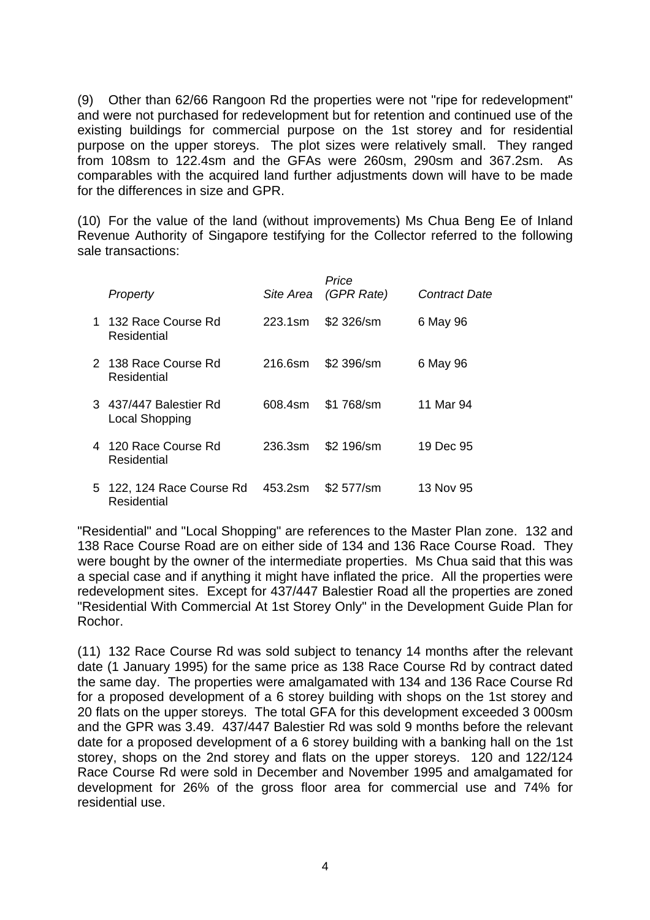(9) Other than 62/66 Rangoon Rd the properties were not "ripe for redevelopment" and were not purchased for redevelopment but for retention and continued use of the existing buildings for commercial purpose on the 1st storey and for residential purpose on the upper storeys. The plot sizes were relatively small. They ranged from 108sm to 122.4sm and the GFAs were 260sm, 290sm and 367.2sm. As comparables with the acquired land further adjustments down will have to be made for the differences in size and GPR.

(10) For the value of the land (without improvements) Ms Chua Beng Ee of Inland Revenue Authority of Singapore testifying for the Collector referred to the following sale transactions:

| Property                                 |         | Price<br>Site Area (GPR Rate) | <b>Contract Date</b> |
|------------------------------------------|---------|-------------------------------|----------------------|
| 1 132 Race Course Rd<br>Residential      | 223.1sm | \$2 326/sm                    | 6 May 96             |
| 2 138 Race Course Rd<br>Residential      | 216.6sm | \$2 396/sm                    | 6 May 96             |
| 3 437/447 Balestier Rd<br>Local Shopping | 608.4sm | \$1 768/sm                    | 11 Mar 94            |
| 4 - 120 Race Course Rd<br>Residential    | 236.3sm | \$2 196/sm                    | 19 Dec 95            |
| 5 122, 124 Race Course Rd<br>Residential | 453.2sm | \$2 577/sm                    | 13 Nov 95            |

"Residential" and "Local Shopping" are references to the Master Plan zone. 132 and 138 Race Course Road are on either side of 134 and 136 Race Course Road. They were bought by the owner of the intermediate properties. Ms Chua said that this was a special case and if anything it might have inflated the price. All the properties were redevelopment sites. Except for 437/447 Balestier Road all the properties are zoned "Residential With Commercial At 1st Storey Only" in the Development Guide Plan for Rochor.

(11) 132 Race Course Rd was sold subject to tenancy 14 months after the relevant date (1 January 1995) for the same price as 138 Race Course Rd by contract dated the same day. The properties were amalgamated with 134 and 136 Race Course Rd for a proposed development of a 6 storey building with shops on the 1st storey and 20 flats on the upper storeys. The total GFA for this development exceeded 3 000sm and the GPR was 3.49. 437/447 Balestier Rd was sold 9 months before the relevant date for a proposed development of a 6 storey building with a banking hall on the 1st storey, shops on the 2nd storey and flats on the upper storeys. 120 and 122/124 Race Course Rd were sold in December and November 1995 and amalgamated for development for 26% of the gross floor area for commercial use and 74% for residential use.